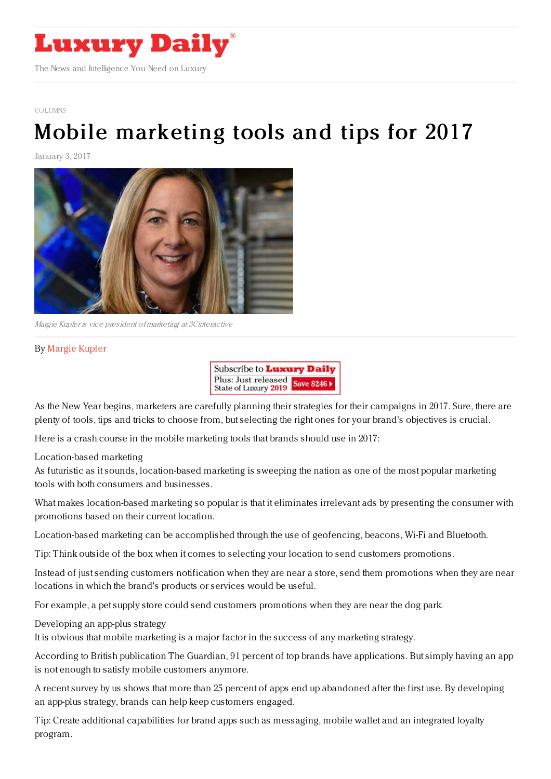

[COLUMNS](https://www.luxurydaily.com/category/opinion/columns/)

## Mobile [marketing](https://www.luxurydaily.com/mobile-marketing-tools-and-tips-for-2017/) tools and tips for 2017

January 3, 2017



Margie Kupfer is vice president of marketing at 3Cinteractive

## By [Margie](http://www.3c.com) Kupfer



As the New Year begins, marketers are carefully planning their strategies for their campaigns in 2017. Sure, there are plenty of tools, tips and tricks to choose from, but selecting the right ones for your brand's objectives is crucial.

Here is a crash course in the mobile marketing tools that brands should use in 2017:

Location-based marketing

As futuristic as it sounds, location-based marketing is sweeping the nation as one of the most popular marketing tools with both consumers and businesses.

What makes location-based marketing so popular is that it eliminates irrelevant ads by presenting the consumer with promotions based on their current location.

Location-based marketing can be accomplished through the use of geofencing, beacons, Wi-Fi and Bluetooth.

Tip: Think outside of the box when it comes to selecting your location to send customers promotions.

Instead of just sending customers notification when they are near a store, send them promotions when they are near locations in which the brand's products or services would be useful.

For example, a pet supply store could send customers promotions when they are near the dog park.

Developing an app-plus strategy

It is obvious that mobile marketing is a major factor in the success of any marketing strategy.

According to British publication The Guardian, 91 percent of top brands have applications. But simply having an app is not enough to satisfy mobile customers anymore.

A recent survey by us shows that more than 25 percent of apps end up abandoned after the first use. By developing an app-plus strategy, brands can help keep customers engaged.

Tip: Create additional capabilities for brand apps such as messaging, mobile wallet and an integrated loyalty program.